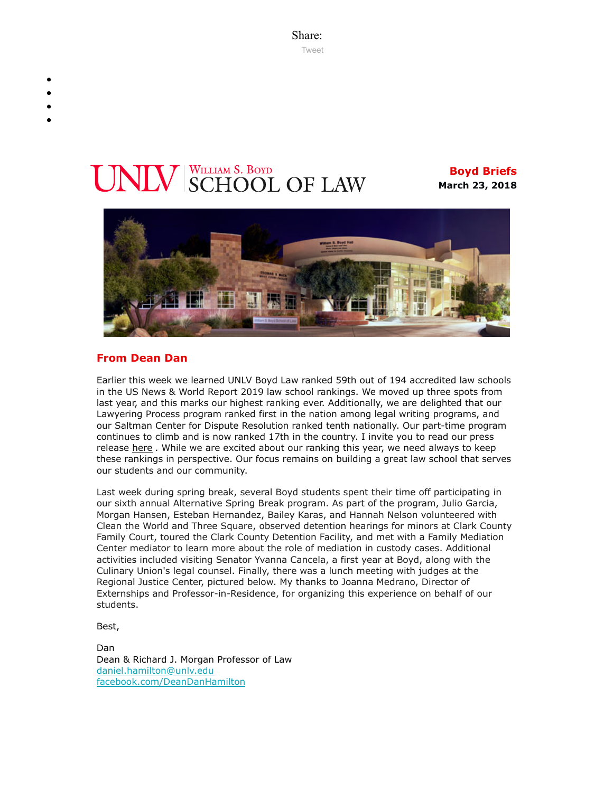Share: [Tweet](https://twitter.com/intent/tweet?ref_src=twsrc%5Etfw&text=Boyd%20Briefs&tw_p=tweetbutton&url=file%3A%2F%2F%2FC%3A%2FUsers%2FElizabeth%2520Manriquez%2FAppData%2FLocal%2FTemp%2FTemp1_boyd-briefs.zip%2Fboyd-briefs%2Femail-BoydBriefs-2018-03-23.html)

# **VIV** SCHOOL OF LAW

**Boyd Briefs March 23, 2018**



#### **From Dean Dan**

Earlier this week we learned UNLV Boyd Law ranked 59th out of 194 accredited law schools in the US News & World Report 2019 law school rankings. We moved up three spots from last year, and this marks our highest ranking ever. Additionally, we are delighted that our Lawyering Process program ranked first in the nation among legal writing programs, and our Saltman Center for Dispute Resolution ranked tenth nationally. Our part-time program continues to climb and is now ranked 17th in the country. I invite you to read our press release [here](https://law.unlv.edu/news/press-releases/unlv-boyd-school-law-achieves-its-highest-ranking-ever-among-juris-doctor). While we are excited about our ranking this year, we need always to keep these rankings in perspective. Our focus remains on building a great law school that serves our students and our community.

Last week during spring break, several Boyd students spent their time off participating in our sixth annual Alternative Spring Break program. As part of the program, Julio Garcia, Morgan Hansen, Esteban Hernandez, Bailey Karas, and Hannah Nelson volunteered with Clean the World and Three Square, observed detention hearings for minors at Clark County Family Court, toured the Clark County Detention Facility, and met with a Family Mediation Center mediator to learn more about the role of mediation in custody cases. Additional activities included visiting Senator Yvanna Cancela, a first year at Boyd, along with the Culinary Union's legal counsel. Finally, there was a lunch meeting with judges at the Regional Justice Center, pictured below. My thanks to Joanna Medrano, Director of Externships and Professor-in-Residence, for organizing this experience on behalf of our students.

Best,

Dan Dean & Richard J. Morgan Professor of Law [daniel.hamilton@unlv.edu](mailto:daniel.hamilton@unlv.edu) [facebook.com/DeanDanHamilton](https://www.facebook.com/DeanDanHamilton)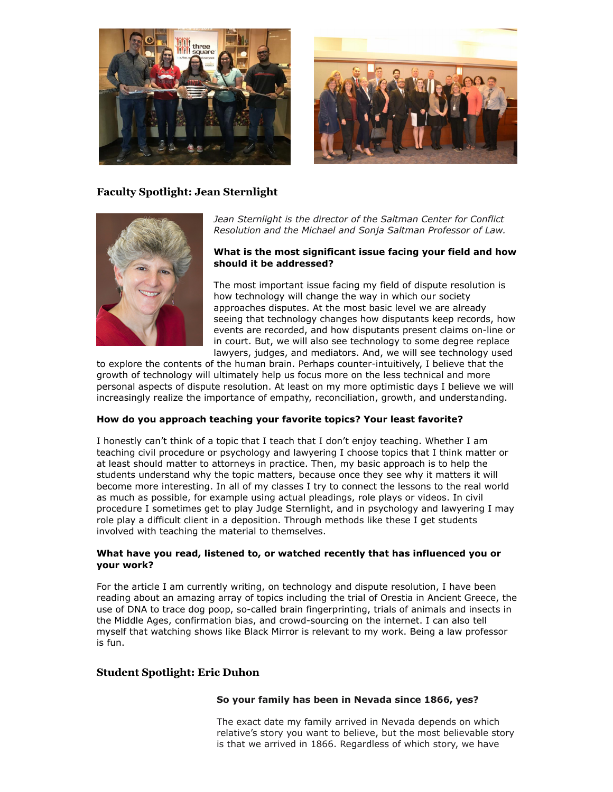



## **Faculty Spotlight: Jean Sternlight**



*Jean Sternlight is the director of the Saltman Center for Conflict Resolution and the Michael and Sonja Saltman Professor of Law.*

#### **What is the most significant issue facing your field and how should it be addressed?**

The most important issue facing my field of dispute resolution is how technology will change the way in which our society approaches disputes. At the most basic level we are already seeing that technology changes how disputants keep records, how events are recorded, and how disputants present claims on-line or in court. But, we will also see technology to some degree replace lawyers, judges, and mediators. And, we will see technology used

to explore the contents of the human brain. Perhaps counter-intuitively, I believe that the growth of technology will ultimately help us focus more on the less technical and more personal aspects of dispute resolution. At least on my more optimistic days I believe we will increasingly realize the importance of empathy, reconciliation, growth, and understanding.

#### **How do you approach teaching your favorite topics? Your least favorite?**

I honestly can't think of a topic that I teach that I don't enjoy teaching. Whether I am teaching civil procedure or psychology and lawyering I choose topics that I think matter or at least should matter to attorneys in practice. Then, my basic approach is to help the students understand why the topic matters, because once they see why it matters it will become more interesting. In all of my classes I try to connect the lessons to the real world as much as possible, for example using actual pleadings, role plays or videos. In civil procedure I sometimes get to play Judge Sternlight, and in psychology and lawyering I may role play a difficult client in a deposition. Through methods like these I get students involved with teaching the material to themselves.

#### **What have you read, listened to, or watched recently that has influenced you or your work?**

For the article I am currently writing, on technology and dispute resolution, I have been reading about an amazing array of topics including the trial of Orestia in Ancient Greece, the use of DNA to trace dog poop, so-called brain fingerprinting, trials of animals and insects in the Middle Ages, confirmation bias, and crowd-sourcing on the internet. I can also tell myself that watching shows like Black Mirror is relevant to my work. Being a law professor is fun.

#### **Student Spotlight: Eric Duhon**

#### **So your family has been in Nevada since 1866, yes?**

The exact date my family arrived in Nevada depends on which relative's story you want to believe, but the most believable story is that we arrived in 1866. Regardless of which story, we have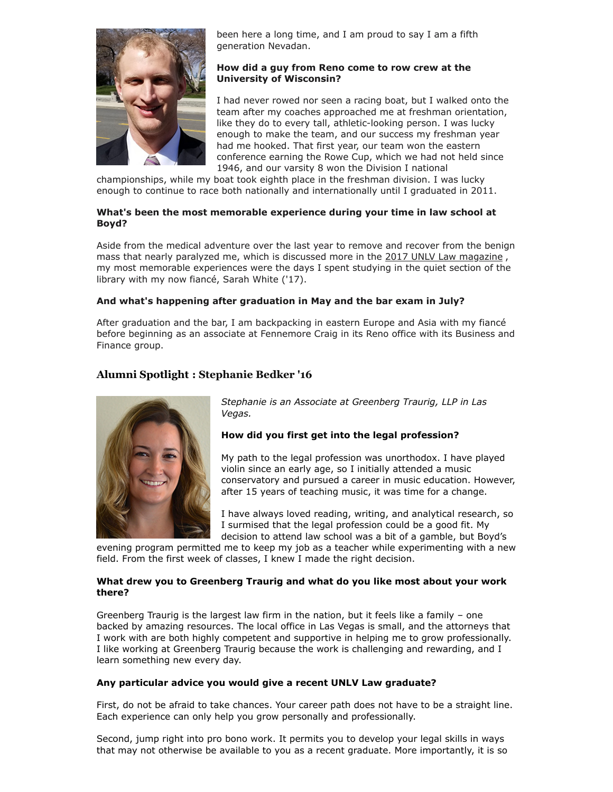

been here a long time, and I am proud to say I am a fifth generation Nevadan.

#### **How did a guy from Reno come to row crew at the University of Wisconsin?**

I had never rowed nor seen a racing boat, but I walked onto the team after my coaches approached me at freshman orientation, like they do to every tall, athletic-looking person. I was lucky enough to make the team, and our success my freshman year had me hooked. That first year, our team won the eastern conference earning the Rowe Cup, which we had not held since 1946, and our varsity 8 won the Division I national

championships, while my boat took eighth place in the freshman division. I was lucky enough to continue to race both nationally and internationally until I graduated in 2011.

#### **What's been the most memorable experience during your time in law school at Boyd?**

Aside from the medical adventure over the last year to remove and recover from the benign mass that nearly paralyzed me, which is discussed more in the [2017 UNLV Law magazine](https://law.unlv.edu/newsroom/law-magazine), my most memorable experiences were the days I spent studying in the quiet section of the library with my now fiancé, Sarah White ('17).

#### **And what's happening after graduation in May and the bar exam in July?**

After graduation and the bar, I am backpacking in eastern Europe and Asia with my fiancé before beginning as an associate at Fennemore Craig in its Reno office with its Business and Finance group.

# **Alumni Spotlight : Stephanie Bedker '16**



*Stephanie is an Associate at Greenberg Traurig, LLP in Las Vegas.*

## **How did you first get into the legal profession?**

My path to the legal profession was unorthodox. I have played violin since an early age, so I initially attended a music conservatory and pursued a career in music education. However, after 15 years of teaching music, it was time for a change.

I have always loved reading, writing, and analytical research, so I surmised that the legal profession could be a good fit. My decision to attend law school was a bit of a gamble, but Boyd's

evening program permitted me to keep my job as a teacher while experimenting with a new field. From the first week of classes, I knew I made the right decision.

#### **What drew you to Greenberg Traurig and what do you like most about your work there?**

Greenberg Traurig is the largest law firm in the nation, but it feels like a family – one backed by amazing resources. The local office in Las Vegas is small, and the attorneys that I work with are both highly competent and supportive in helping me to grow professionally. I like working at Greenberg Traurig because the work is challenging and rewarding, and I learn something new every day.

#### **Any particular advice you would give a recent UNLV Law graduate?**

First, do not be afraid to take chances. Your career path does not have to be a straight line. Each experience can only help you grow personally and professionally.

Second, jump right into pro bono work. It permits you to develop your legal skills in ways that may not otherwise be available to you as a recent graduate. More importantly, it is so